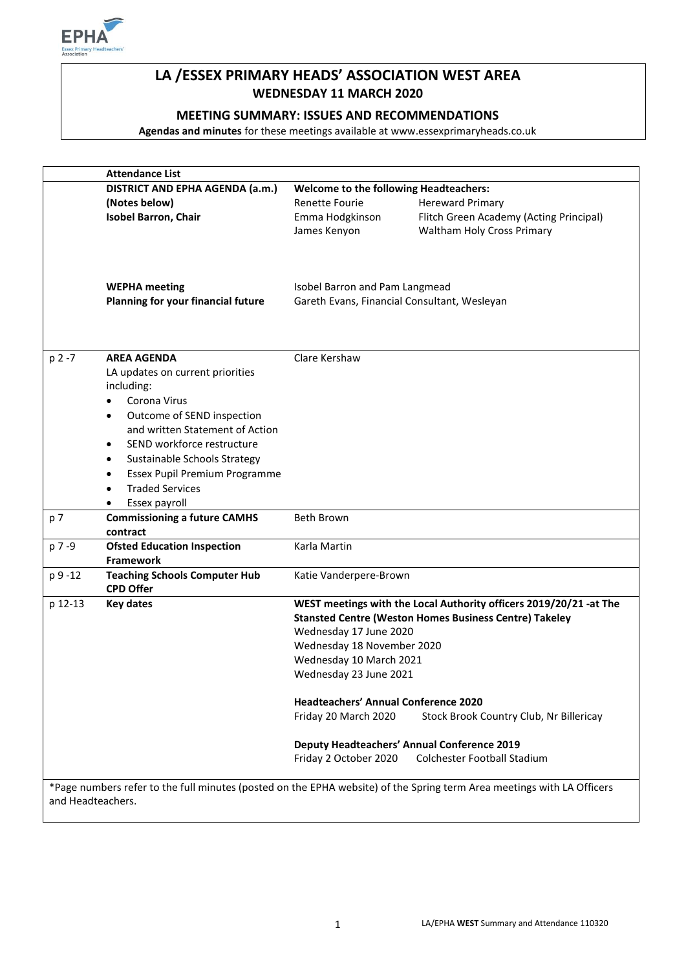

# **LA /ESSEX PRIMARY HEADS' ASSOCIATION WEST AREA WEDNESDAY 11 MARCH 2020**

### **MEETING SUMMARY: ISSUES AND RECOMMENDATIONS**

**Agendas and minutes** for these meetings available at www.essexprimaryheads.co.uk

|                                                                                                                                             | <b>Attendance List</b>                                                                                                                                                                                                                     |                                                                                                                                                                                                                                                                                                                                                                                                                                                                                  |  |
|---------------------------------------------------------------------------------------------------------------------------------------------|--------------------------------------------------------------------------------------------------------------------------------------------------------------------------------------------------------------------------------------------|----------------------------------------------------------------------------------------------------------------------------------------------------------------------------------------------------------------------------------------------------------------------------------------------------------------------------------------------------------------------------------------------------------------------------------------------------------------------------------|--|
|                                                                                                                                             | DISTRICT AND EPHA AGENDA (a.m.)                                                                                                                                                                                                            | <b>Welcome to the following Headteachers:</b>                                                                                                                                                                                                                                                                                                                                                                                                                                    |  |
|                                                                                                                                             | (Notes below)                                                                                                                                                                                                                              | <b>Renette Fourie</b><br><b>Hereward Primary</b>                                                                                                                                                                                                                                                                                                                                                                                                                                 |  |
|                                                                                                                                             | <b>Isobel Barron, Chair</b>                                                                                                                                                                                                                | Flitch Green Academy (Acting Principal)<br>Emma Hodgkinson<br>Waltham Holy Cross Primary<br>James Kenyon                                                                                                                                                                                                                                                                                                                                                                         |  |
|                                                                                                                                             | <b>WEPHA</b> meeting<br>Planning for your financial future                                                                                                                                                                                 | Isobel Barron and Pam Langmead<br>Gareth Evans, Financial Consultant, Wesleyan                                                                                                                                                                                                                                                                                                                                                                                                   |  |
| $p 2 - 7$                                                                                                                                   | <b>AREA AGENDA</b><br>LA updates on current priorities<br>including:<br>Corona Virus<br>Outcome of SEND inspection<br>٠<br>and written Statement of Action<br>SEND workforce restructure<br>$\bullet$<br>Sustainable Schools Strategy<br>٠ | Clare Kershaw                                                                                                                                                                                                                                                                                                                                                                                                                                                                    |  |
|                                                                                                                                             | Essex Pupil Premium Programme<br>$\bullet$<br><b>Traded Services</b><br>Essex payroll                                                                                                                                                      |                                                                                                                                                                                                                                                                                                                                                                                                                                                                                  |  |
| p 7                                                                                                                                         | <b>Commissioning a future CAMHS</b><br>contract                                                                                                                                                                                            | <b>Beth Brown</b>                                                                                                                                                                                                                                                                                                                                                                                                                                                                |  |
| p 7 -9                                                                                                                                      | <b>Ofsted Education Inspection</b><br><b>Framework</b>                                                                                                                                                                                     | Karla Martin                                                                                                                                                                                                                                                                                                                                                                                                                                                                     |  |
| p 9 -12                                                                                                                                     | <b>Teaching Schools Computer Hub</b><br><b>CPD Offer</b>                                                                                                                                                                                   | Katie Vanderpere-Brown                                                                                                                                                                                                                                                                                                                                                                                                                                                           |  |
| p 12-13                                                                                                                                     | <b>Key dates</b>                                                                                                                                                                                                                           | WEST meetings with the Local Authority officers 2019/20/21 -at The<br><b>Stansted Centre (Weston Homes Business Centre) Takeley</b><br>Wednesday 17 June 2020<br>Wednesday 18 November 2020<br>Wednesday 10 March 2021<br>Wednesday 23 June 2021<br><b>Headteachers' Annual Conference 2020</b><br>Friday 20 March 2020<br>Stock Brook Country Club, Nr Billericay<br><b>Deputy Headteachers' Annual Conference 2019</b><br>Friday 2 October 2020<br>Colchester Football Stadium |  |
| *Page numbers refer to the full minutes (posted on the EPHA website) of the Spring term Area meetings with LA Officers<br>and Headteachers. |                                                                                                                                                                                                                                            |                                                                                                                                                                                                                                                                                                                                                                                                                                                                                  |  |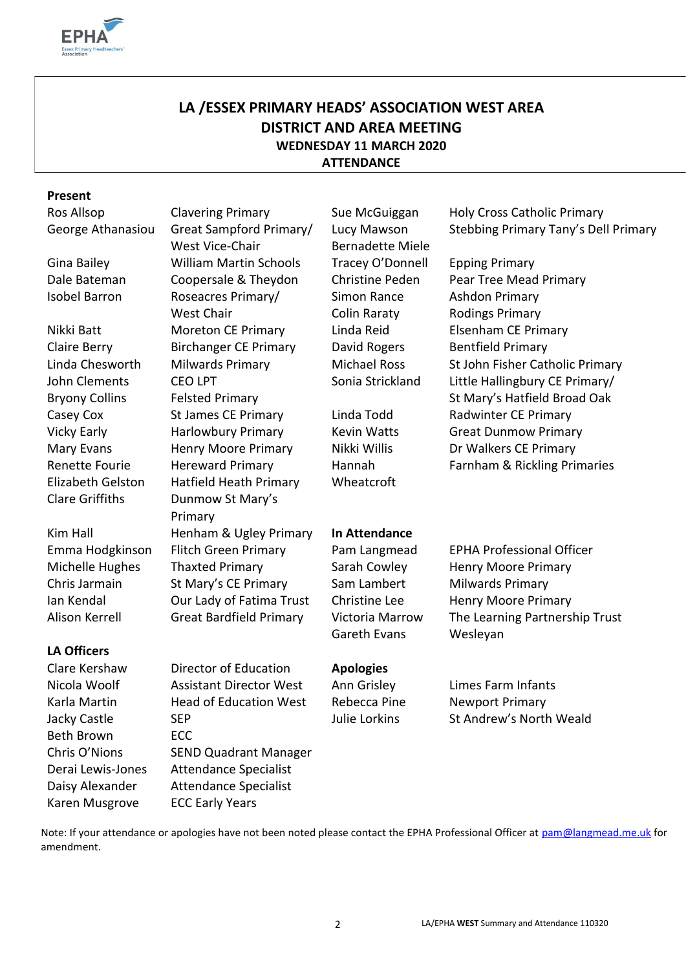

# **LA /ESSEX PRIMARY HEADS' ASSOCIATION WEST AREA DISTRICT AND AREA MEETING WEDNESDAY 11 MARCH 2020 ATTENDANCE**

#### **Present**

John Clements Bryony Collins Renette Fourie Elizabeth Gelston

# **LA Officers**

Beth Brown ECC Karen Musgrove ECC Early Years

George Athanasiou Great Sampford Primary/ West Vice-Chair Gina Bailey William Martin Schools Tracey O'Donnell Epping Primary Isobel Barron Roseacres Primary/ West Chair Nikki Batt Moreton CE Primary Linda Reid Elsenham CE Primary Claire Berry **Birchanger CE Primary** David Rogers Bentfield Primary CEO LPT Felsted Primary Casey Cox St James CE Primary Linda Todd Radwinter CE Primary Mary Evans Henry Moore Primary Nikki Willis Dr Walkers CE Primary Hereward Primary Hatfield Heath Primary Clare Griffiths Dunmow St Mary's Primary Kim Hall Henham & Ugley Primary **In Attendance** Michelle Hughes Thaxted Primary Sarah Cowley Henry Moore Primary Chris Jarmain St Mary's CE Primary Sam Lambert Milwards Primary Ian Kendal **Our Lady of Fatima Trust** Christine Lee Henry Moore Primary

Clare Kershaw Director of Education **Apologies** Nicola Woolf Assistant Director West Ann Grisley Limes Farm Infants Karla Martin **Head of Education West** Rebecca Pine **Newport Primary** Jacky Castle SEP SEP Julie Lorkins St Andrew's North Weald Chris O'Nions SEND Quadrant Manager Derai Lewis-Jones Attendance Specialist Daisy Alexander Attendance Specialist

Lucy Mawson Bernadette Miele Simon Rance Colin Raraty

Hannah Wheatcroft

Gareth Evans Wesleyan

Ros Allsop Clavering Primary Sue McGuiggan Holy Cross Catholic Primary Stebbing Primary Tany's Dell Primary

Dale Bateman Coopersale & Theydon Christine Peden Pear Tree Mead Primary Ashdon Primary Rodings Primary Linda Chesworth Milwards Primary Michael Ross St John Fisher Catholic Primary Sonia Strickland Little Hallingbury CE Primary/ St Mary's Hatfield Broad Oak Vicky Early **Harlowbury Primary** Kevin Watts Great Dunmow Primary Farnham & Rickling Primaries

Emma Hodgkinson Flitch Green Primary Pam Langmead EPHA Professional Officer Alison Kerrell Great Bardfield Primary Victoria Marrow The Learning Partnership Trust

Note: If your attendance or apologies have not been noted please contact the EPHA Professional Officer at [pam@langmead.me.uk](mailto:pam@langmead.me.uk) for amendment.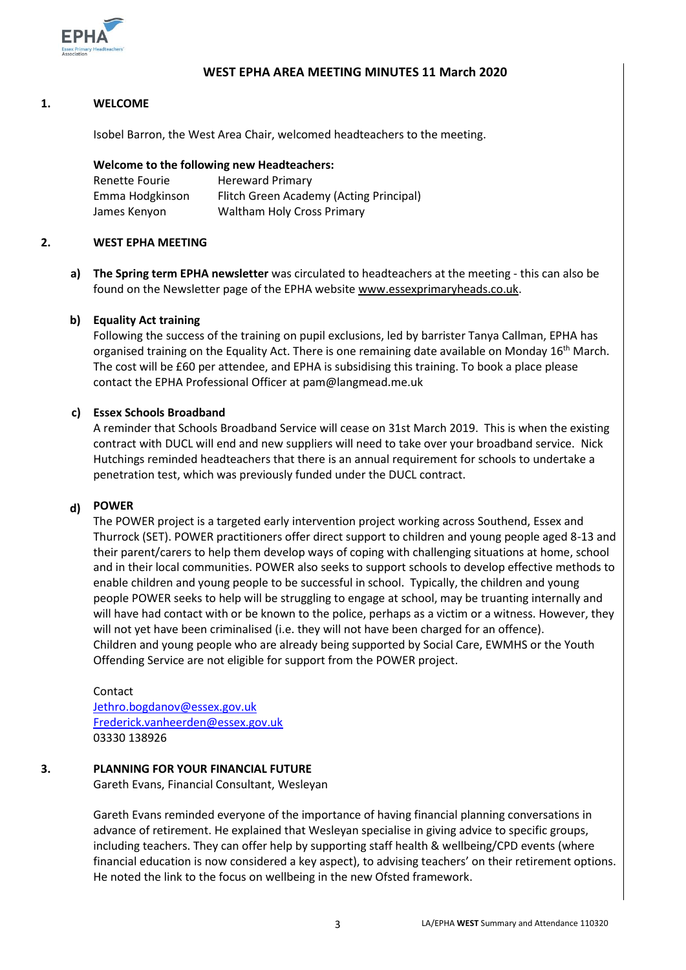

### **WEST EPHA AREA MEETING MINUTES 11 March 2020**

### **1. WELCOME**

Isobel Barron, the West Area Chair, welcomed headteachers to the meeting.

### **Welcome to the following new Headteachers:**

| Renette Fourie  | <b>Hereward Primary</b>                 |
|-----------------|-----------------------------------------|
| Emma Hodgkinson | Flitch Green Academy (Acting Principal) |
| James Kenyon    | <b>Waltham Holy Cross Primary</b>       |

#### **2. WEST EPHA MEETING**

**a) The Spring term EPHA newsletter** was circulated to headteachers at the meeting - this can also be found on the Newsletter page of the EPHA website [www.essexprimaryheads.co.uk.](http://www.essexprimaryheads.co.uk/)

#### **b) Equality Act training**

Following the success of the training on pupil exclusions, led by barrister Tanya Callman, EPHA has organised training on the Equality Act. There is one remaining date available on Monday 16<sup>th</sup> March. The cost will be £60 per attendee, and EPHA is subsidising this training. To book a place please contact the EPHA Professional Officer at pam@langmead.me.uk

### **c) Essex Schools Broadband**

A reminder that Schools Broadband Service will cease on 31st March 2019. This is when the existing contract with DUCL will end and new suppliers will need to take over your broadband service. Nick Hutchings reminded headteachers that there is an annual requirement for schools to undertake a penetration test, which was previously funded under the DUCL contract.

# **d) POWER**

The POWER project is a targeted early intervention project working across Southend, Essex and Thurrock (SET). POWER practitioners offer direct support to children and young people aged 8-13 and their parent/carers to help them develop ways of coping with challenging situations at home, school and in their local communities. POWER also seeks to support schools to develop effective methods to enable children and young people to be successful in school. Typically, the children and young people POWER seeks to help will be struggling to engage at school, may be truanting internally and will have had contact with or be known to the police, perhaps as a victim or a witness. However, they will not yet have been criminalised (i.e. they will not have been charged for an offence). Children and young people who are already being supported by Social Care, EWMHS or the Youth Offending Service are not eligible for support from the POWER project.

#### Contact

[Jethro.bogdanov@essex.gov.uk](mailto:Jethro.bogdanov@essex.gov.uk) [Frederick.vanheerden@essex.gov.uk](mailto:Frederick.vanheerden@essex.gov.uk) 03330 138926

## **3. PLANNING FOR YOUR FINANCIAL FUTURE**

Gareth Evans, Financial Consultant, Wesleyan

Gareth Evans reminded everyone of the importance of having financial planning conversations in advance of retirement. He explained that Wesleyan specialise in giving advice to specific groups, including teachers. They can offer help by supporting staff health & wellbeing/CPD events (where financial education is now considered a key aspect), to advising teachers' on their retirement options. He noted the link to the focus on wellbeing in the new Ofsted framework.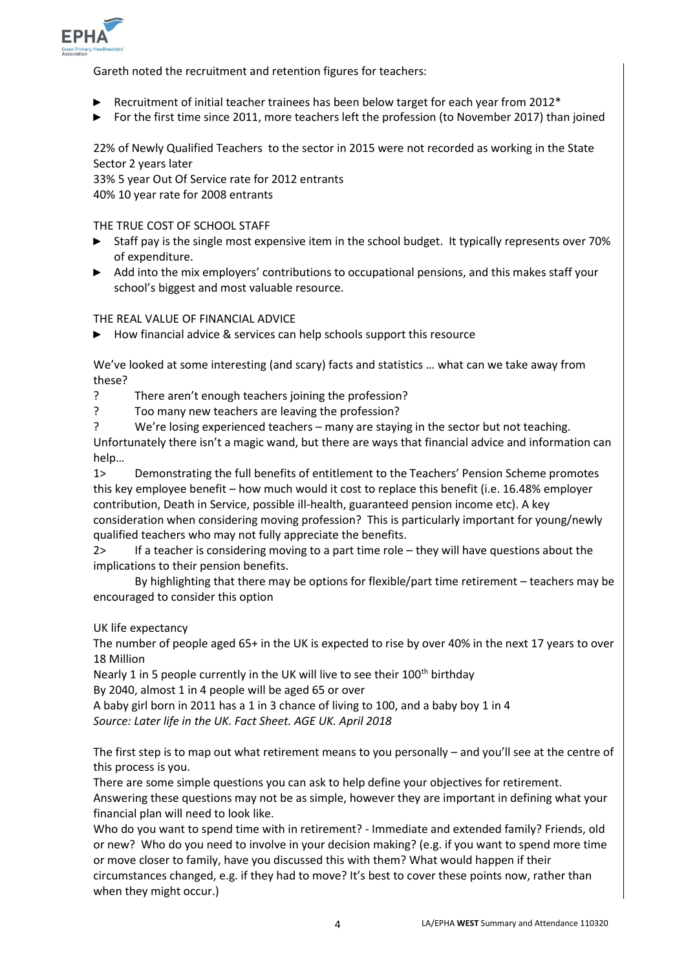

Gareth noted the recruitment and retention figures for teachers:

- ► Recruitment of initial teacher trainees has been below target for each year from 2012\*
- ► For the first time since 2011, more teachers left the profession (to November 2017) than joined

22% of Newly Qualified Teachers to the sector in 2015 were not recorded as working in the State Sector 2 years later

33% 5 year Out Of Service rate for 2012 entrants 40% 10 year rate for 2008 entrants

THE TRUE COST OF SCHOOL STAFF

- ► Staff pay is the single most expensive item in the school budget. It typically represents over 70% of expenditure.
- ► Add into the mix employers' contributions to occupational pensions, and this makes staff your school's biggest and most valuable resource.

THE REAL VALUE OF FINANCIAL ADVICE

► How financial advice & services can help schools support this resource

We've looked at some interesting (and scary) facts and statistics … what can we take away from these?

- ? There aren't enough teachers joining the profession?
- ? Too many new teachers are leaving the profession?
- ? We're losing experienced teachers many are staying in the sector but not teaching.

Unfortunately there isn't a magic wand, but there are ways that financial advice and information can help…

1> Demonstrating the full benefits of entitlement to the Teachers' Pension Scheme promotes this key employee benefit – how much would it cost to replace this benefit (i.e. 16.48% employer contribution, Death in Service, possible ill-health, guaranteed pension income etc). A key consideration when considering moving profession? This is particularly important for young/newly qualified teachers who may not fully appreciate the benefits.

2> If a teacher is considering moving to a part time role – they will have questions about the implications to their pension benefits.

By highlighting that there may be options for flexible/part time retirement – teachers may be encouraged to consider this option

UK life expectancy

The number of people aged 65+ in the UK is expected to rise by over 40% in the next 17 years to over 18 Million

Nearly 1 in 5 people currently in the UK will live to see their 100<sup>th</sup> birthday By 2040, almost 1 in 4 people will be aged 65 or over

A baby girl born in 2011 has a 1 in 3 chance of living to 100, and a baby boy 1 in 4 *Source: Later life in the UK. Fact Sheet. AGE UK. April 2018*

The first step is to map out what retirement means to you personally – and you'll see at the centre of this process is you.

There are some simple questions you can ask to help define your objectives for retirement. Answering these questions may not be as simple, however they are important in defining what your financial plan will need to look like.

Who do you want to spend time with in retirement? - Immediate and extended family? Friends, old or new? Who do you need to involve in your decision making? (e.g. if you want to spend more time or move closer to family, have you discussed this with them? What would happen if their circumstances changed, e.g. if they had to move? It's best to cover these points now, rather than when they might occur.)